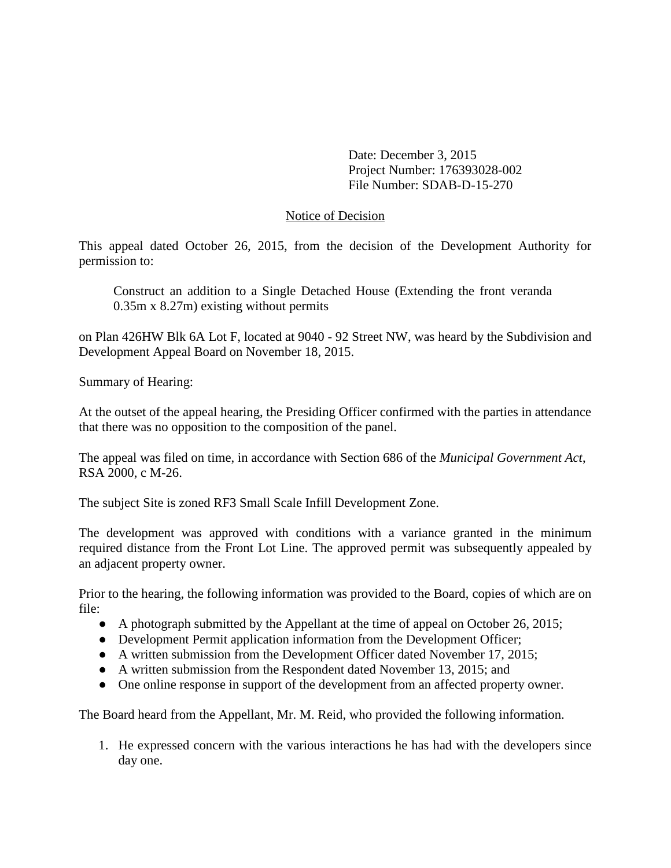Date: December 3, 2015 Project Number: 176393028-002 File Number: SDAB-D-15-270

### Notice of Decision

This appeal dated October 26, 2015, from the decision of the Development Authority for permission to:

Construct an addition to a Single Detached House (Extending the front veranda 0.35m x 8.27m) existing without permits

on Plan 426HW Blk 6A Lot F, located at 9040 - 92 Street NW, was heard by the Subdivision and Development Appeal Board on November 18, 2015.

Summary of Hearing:

At the outset of the appeal hearing, the Presiding Officer confirmed with the parties in attendance that there was no opposition to the composition of the panel.

The appeal was filed on time, in accordance with Section 686 of the *Municipal Government Act*, RSA 2000, c M-26.

The subject Site is zoned RF3 Small Scale Infill Development Zone.

The development was approved with conditions with a variance granted in the minimum required distance from the Front Lot Line. The approved permit was subsequently appealed by an adjacent property owner.

Prior to the hearing, the following information was provided to the Board, copies of which are on file:

- A photograph submitted by the Appellant at the time of appeal on October 26, 2015;
- Development Permit application information from the Development Officer;
- A written submission from the Development Officer dated November 17, 2015;
- A written submission from the Respondent dated November 13, 2015; and
- One online response in support of the development from an affected property owner.

The Board heard from the Appellant, Mr. M. Reid, who provided the following information.

1. He expressed concern with the various interactions he has had with the developers since day one.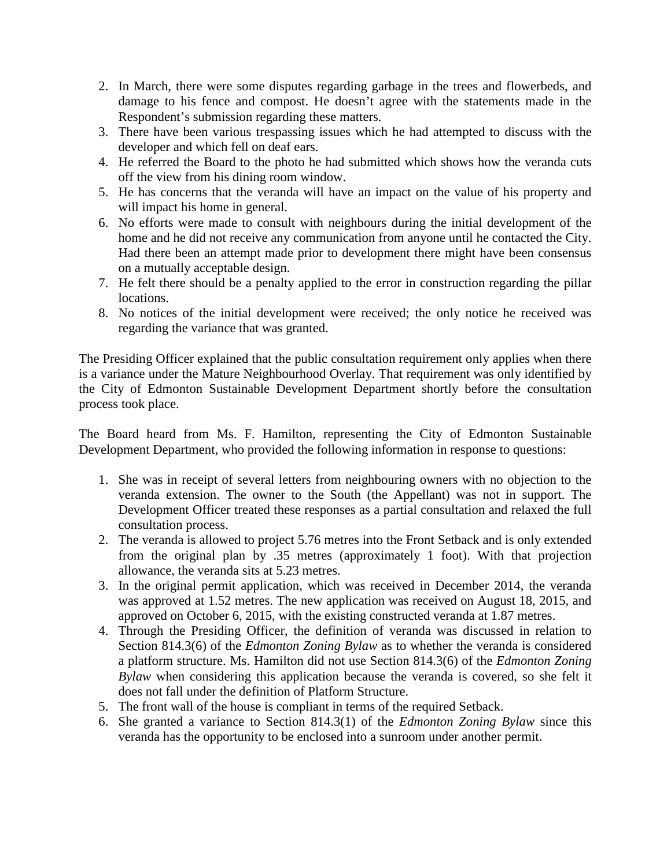- 2. In March, there were some disputes regarding garbage in the trees and flowerbeds, and damage to his fence and compost. He doesn't agree with the statements made in the Respondent's submission regarding these matters.
- 3. There have been various trespassing issues which he had attempted to discuss with the developer and which fell on deaf ears.
- 4. He referred the Board to the photo he had submitted which shows how the veranda cuts off the view from his dining room window.
- 5. He has concerns that the veranda will have an impact on the value of his property and will impact his home in general.
- 6. No efforts were made to consult with neighbours during the initial development of the home and he did not receive any communication from anyone until he contacted the City. Had there been an attempt made prior to development there might have been consensus on a mutually acceptable design.
- 7. He felt there should be a penalty applied to the error in construction regarding the pillar locations.
- 8. No notices of the initial development were received; the only notice he received was regarding the variance that was granted.

The Presiding Officer explained that the public consultation requirement only applies when there is a variance under the Mature Neighbourhood Overlay. That requirement was only identified by the City of Edmonton Sustainable Development Department shortly before the consultation process took place.

The Board heard from Ms. F. Hamilton, representing the City of Edmonton Sustainable Development Department, who provided the following information in response to questions:

- 1. She was in receipt of several letters from neighbouring owners with no objection to the veranda extension. The owner to the South (the Appellant) was not in support. The Development Officer treated these responses as a partial consultation and relaxed the full consultation process.
- 2. The veranda is allowed to project 5.76 metres into the Front Setback and is only extended from the original plan by .35 metres (approximately 1 foot). With that projection allowance, the veranda sits at 5.23 metres.
- 3. In the original permit application, which was received in December 2014, the veranda was approved at 1.52 metres. The new application was received on August 18, 2015, and approved on October 6, 2015, with the existing constructed veranda at 1.87 metres.
- 4. Through the Presiding Officer, the definition of veranda was discussed in relation to Section 814.3(6) of the *Edmonton Zoning Bylaw* as to whether the veranda is considered a platform structure. Ms. Hamilton did not use Section 814.3(6) of the *Edmonton Zoning Bylaw* when considering this application because the veranda is covered, so she felt it does not fall under the definition of Platform Structure.
- 5. The front wall of the house is compliant in terms of the required Setback.
- 6. She granted a variance to Section 814.3(1) of the *Edmonton Zoning Bylaw* since this veranda has the opportunity to be enclosed into a sunroom under another permit.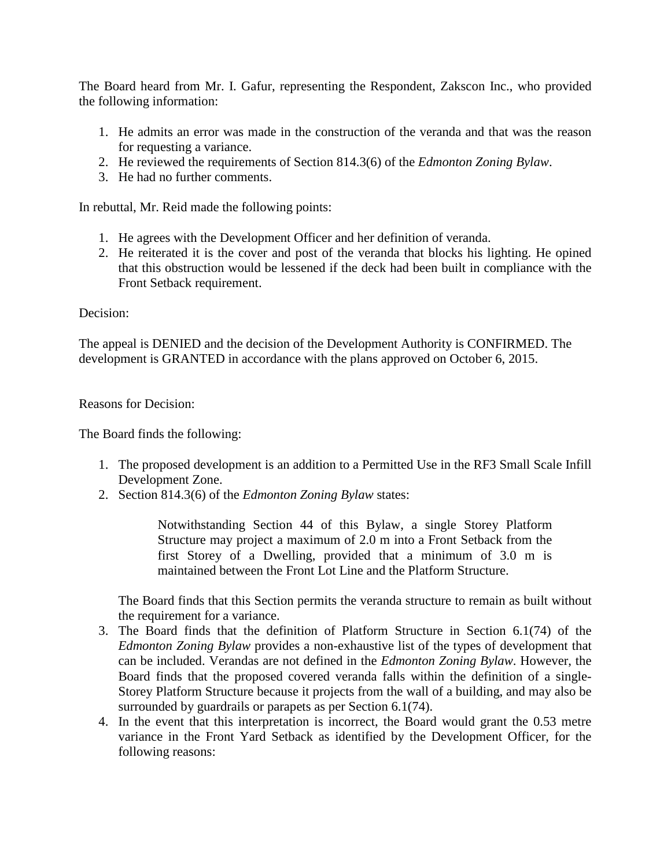The Board heard from Mr. I. Gafur, representing the Respondent, Zakscon Inc., who provided the following information:

- 1. He admits an error was made in the construction of the veranda and that was the reason for requesting a variance.
- 2. He reviewed the requirements of Section 814.3(6) of the *Edmonton Zoning Bylaw*.
- 3. He had no further comments.

In rebuttal, Mr. Reid made the following points:

- 1. He agrees with the Development Officer and her definition of veranda.
- 2. He reiterated it is the cover and post of the veranda that blocks his lighting. He opined that this obstruction would be lessened if the deck had been built in compliance with the Front Setback requirement.

### Decision:

The appeal is DENIED and the decision of the Development Authority is CONFIRMED. The development is GRANTED in accordance with the plans approved on October 6, 2015.

Reasons for Decision:

The Board finds the following:

- 1. The proposed development is an addition to a Permitted Use in the RF3 Small Scale Infill Development Zone.
- 2. Section 814.3(6) of the *Edmonton Zoning Bylaw* states:

Notwithstanding Section 44 of this Bylaw, a single Storey Platform Structure may project a maximum of 2.0 m into a Front Setback from the first Storey of a Dwelling, provided that a minimum of 3.0 m is maintained between the Front Lot Line and the Platform Structure.

The Board finds that this Section permits the veranda structure to remain as built without the requirement for a variance.

- 3. The Board finds that the definition of Platform Structure in Section 6.1(74) of the *Edmonton Zoning Bylaw* provides a non-exhaustive list of the types of development that can be included. Verandas are not defined in the *Edmonton Zoning Bylaw*. However, the Board finds that the proposed covered veranda falls within the definition of a single-Storey Platform Structure because it projects from the wall of a building, and may also be surrounded by guardrails or parapets as per Section 6.1(74).
- 4. In the event that this interpretation is incorrect, the Board would grant the 0.53 metre variance in the Front Yard Setback as identified by the Development Officer, for the following reasons: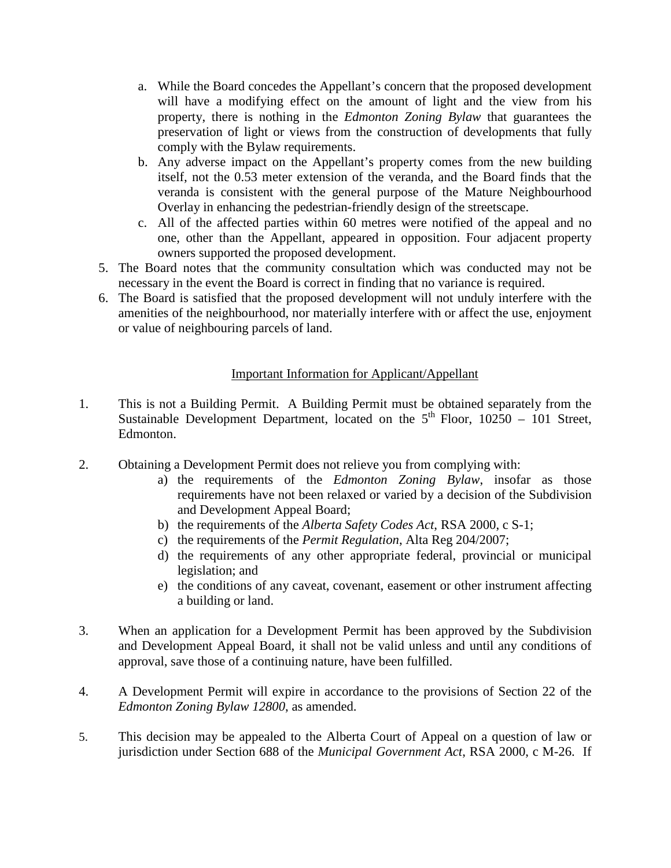- a. While the Board concedes the Appellant's concern that the proposed development will have a modifying effect on the amount of light and the view from his property, there is nothing in the *Edmonton Zoning Bylaw* that guarantees the preservation of light or views from the construction of developments that fully comply with the Bylaw requirements.
- b. Any adverse impact on the Appellant's property comes from the new building itself, not the 0.53 meter extension of the veranda, and the Board finds that the veranda is consistent with the general purpose of the Mature Neighbourhood Overlay in enhancing the pedestrian-friendly design of the streetscape.
- c. All of the affected parties within 60 metres were notified of the appeal and no one, other than the Appellant, appeared in opposition. Four adjacent property owners supported the proposed development.
- 5. The Board notes that the community consultation which was conducted may not be necessary in the event the Board is correct in finding that no variance is required.
- 6. The Board is satisfied that the proposed development will not unduly interfere with the amenities of the neighbourhood, nor materially interfere with or affect the use, enjoyment or value of neighbouring parcels of land.

# Important Information for Applicant/Appellant

- 1. This is not a Building Permit. A Building Permit must be obtained separately from the Sustainable Development Department, located on the  $5<sup>th</sup>$  Floor, 10250 – 101 Street, Edmonton.
- 2. Obtaining a Development Permit does not relieve you from complying with:
	- a) the requirements of the *Edmonton Zoning Bylaw*, insofar as those requirements have not been relaxed or varied by a decision of the Subdivision and Development Appeal Board;
	- b) the requirements of the *Alberta Safety Codes Act*, RSA 2000, c S-1;
	- c) the requirements of the *Permit Regulation*, Alta Reg 204/2007;
	- d) the requirements of any other appropriate federal, provincial or municipal legislation; and
	- e) the conditions of any caveat, covenant, easement or other instrument affecting a building or land.
- 3. When an application for a Development Permit has been approved by the Subdivision and Development Appeal Board, it shall not be valid unless and until any conditions of approval, save those of a continuing nature, have been fulfilled.
- 4. A Development Permit will expire in accordance to the provisions of Section 22 of the *Edmonton Zoning Bylaw 12800*, as amended.
- 5. This decision may be appealed to the Alberta Court of Appeal on a question of law or jurisdiction under Section 688 of the *Municipal Government Act*, RSA 2000, c M-26. If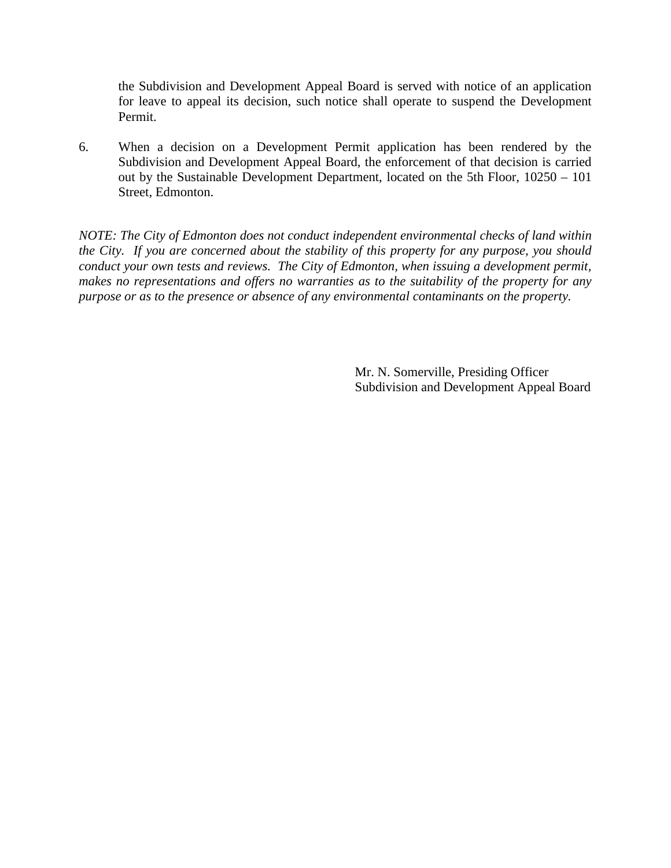the Subdivision and Development Appeal Board is served with notice of an application for leave to appeal its decision, such notice shall operate to suspend the Development Permit.

6. When a decision on a Development Permit application has been rendered by the Subdivision and Development Appeal Board, the enforcement of that decision is carried out by the Sustainable Development Department, located on the 5th Floor, 10250 – 101 Street, Edmonton.

*NOTE: The City of Edmonton does not conduct independent environmental checks of land within the City. If you are concerned about the stability of this property for any purpose, you should conduct your own tests and reviews. The City of Edmonton, when issuing a development permit, makes no representations and offers no warranties as to the suitability of the property for any purpose or as to the presence or absence of any environmental contaminants on the property.*

> Mr. N. Somerville, Presiding Officer Subdivision and Development Appeal Board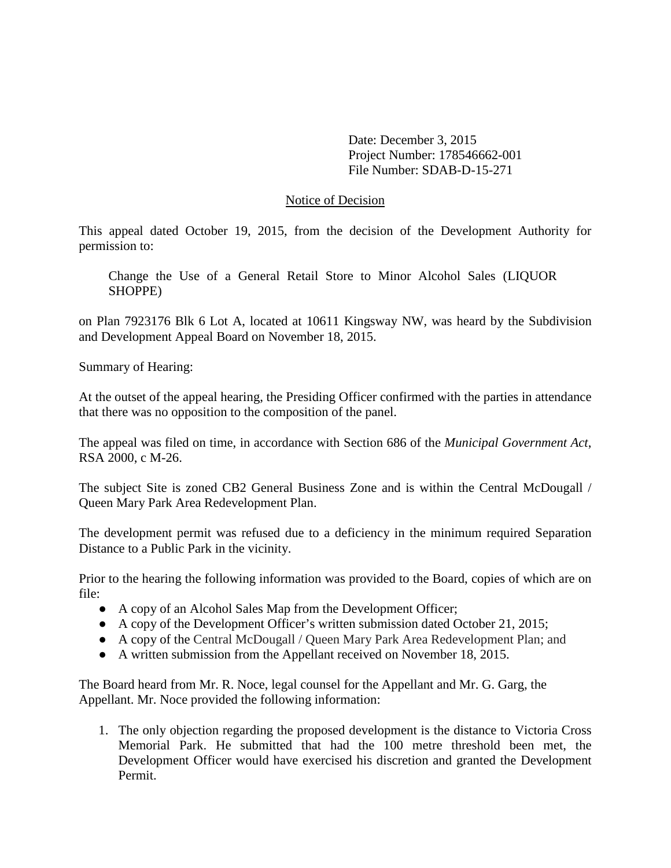Date: December 3, 2015 Project Number: 178546662-001 File Number: SDAB-D-15-271

#### Notice of Decision

This appeal dated October 19, 2015, from the decision of the Development Authority for permission to:

Change the Use of a General Retail Store to Minor Alcohol Sales (LIQUOR SHOPPE)

on Plan 7923176 Blk 6 Lot A, located at 10611 Kingsway NW, was heard by the Subdivision and Development Appeal Board on November 18, 2015.

Summary of Hearing:

At the outset of the appeal hearing, the Presiding Officer confirmed with the parties in attendance that there was no opposition to the composition of the panel.

The appeal was filed on time, in accordance with Section 686 of the *Municipal Government Act*, RSA 2000, c M-26.

The subject Site is zoned CB2 General Business Zone and is within the Central McDougall / Queen Mary Park Area Redevelopment Plan.

The development permit was refused due to a deficiency in the minimum required Separation Distance to a Public Park in the vicinity.

Prior to the hearing the following information was provided to the Board, copies of which are on file:

- A copy of an Alcohol Sales Map from the Development Officer;
- A copy of the Development Officer's written submission dated October 21, 2015;
- A copy of the Central McDougall / Queen Mary Park Area Redevelopment Plan; and
- A written submission from the Appellant received on November 18, 2015.

The Board heard from Mr. R. Noce, legal counsel for the Appellant and Mr. G. Garg, the Appellant. Mr. Noce provided the following information:

1. The only objection regarding the proposed development is the distance to Victoria Cross Memorial Park. He submitted that had the 100 metre threshold been met, the Development Officer would have exercised his discretion and granted the Development Permit.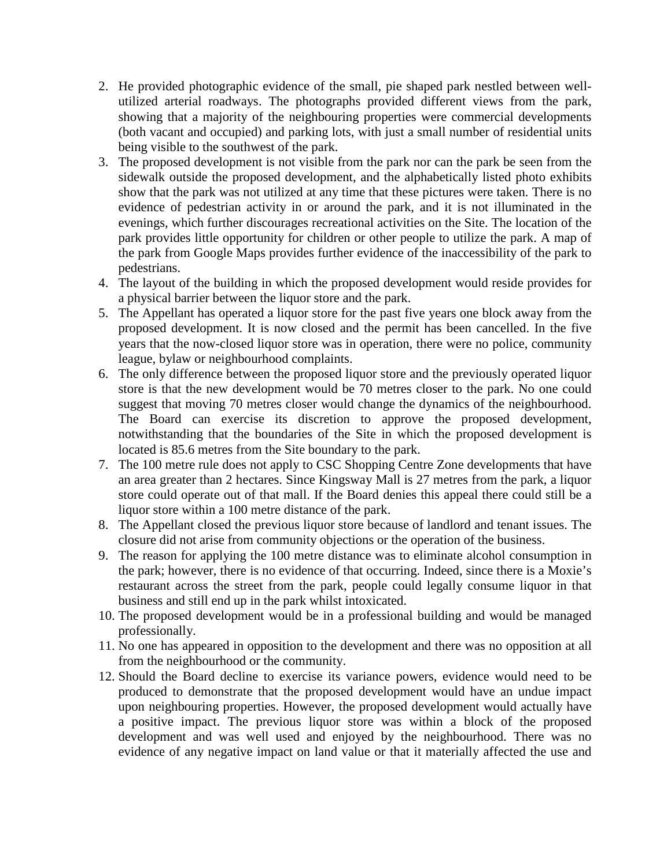- 2. He provided photographic evidence of the small, pie shaped park nestled between wellutilized arterial roadways. The photographs provided different views from the park, showing that a majority of the neighbouring properties were commercial developments (both vacant and occupied) and parking lots, with just a small number of residential units being visible to the southwest of the park.
- 3. The proposed development is not visible from the park nor can the park be seen from the sidewalk outside the proposed development, and the alphabetically listed photo exhibits show that the park was not utilized at any time that these pictures were taken. There is no evidence of pedestrian activity in or around the park, and it is not illuminated in the evenings, which further discourages recreational activities on the Site. The location of the park provides little opportunity for children or other people to utilize the park. A map of the park from Google Maps provides further evidence of the inaccessibility of the park to pedestrians.
- 4. The layout of the building in which the proposed development would reside provides for a physical barrier between the liquor store and the park.
- 5. The Appellant has operated a liquor store for the past five years one block away from the proposed development. It is now closed and the permit has been cancelled. In the five years that the now-closed liquor store was in operation, there were no police, community league, bylaw or neighbourhood complaints.
- 6. The only difference between the proposed liquor store and the previously operated liquor store is that the new development would be 70 metres closer to the park. No one could suggest that moving 70 metres closer would change the dynamics of the neighbourhood. The Board can exercise its discretion to approve the proposed development, notwithstanding that the boundaries of the Site in which the proposed development is located is 85.6 metres from the Site boundary to the park.
- 7. The 100 metre rule does not apply to CSC Shopping Centre Zone developments that have an area greater than 2 hectares. Since Kingsway Mall is 27 metres from the park, a liquor store could operate out of that mall. If the Board denies this appeal there could still be a liquor store within a 100 metre distance of the park.
- 8. The Appellant closed the previous liquor store because of landlord and tenant issues. The closure did not arise from community objections or the operation of the business.
- 9. The reason for applying the 100 metre distance was to eliminate alcohol consumption in the park; however, there is no evidence of that occurring. Indeed, since there is a Moxie's restaurant across the street from the park, people could legally consume liquor in that business and still end up in the park whilst intoxicated.
- 10. The proposed development would be in a professional building and would be managed professionally.
- 11. No one has appeared in opposition to the development and there was no opposition at all from the neighbourhood or the community.
- 12. Should the Board decline to exercise its variance powers, evidence would need to be produced to demonstrate that the proposed development would have an undue impact upon neighbouring properties. However, the proposed development would actually have a positive impact. The previous liquor store was within a block of the proposed development and was well used and enjoyed by the neighbourhood. There was no evidence of any negative impact on land value or that it materially affected the use and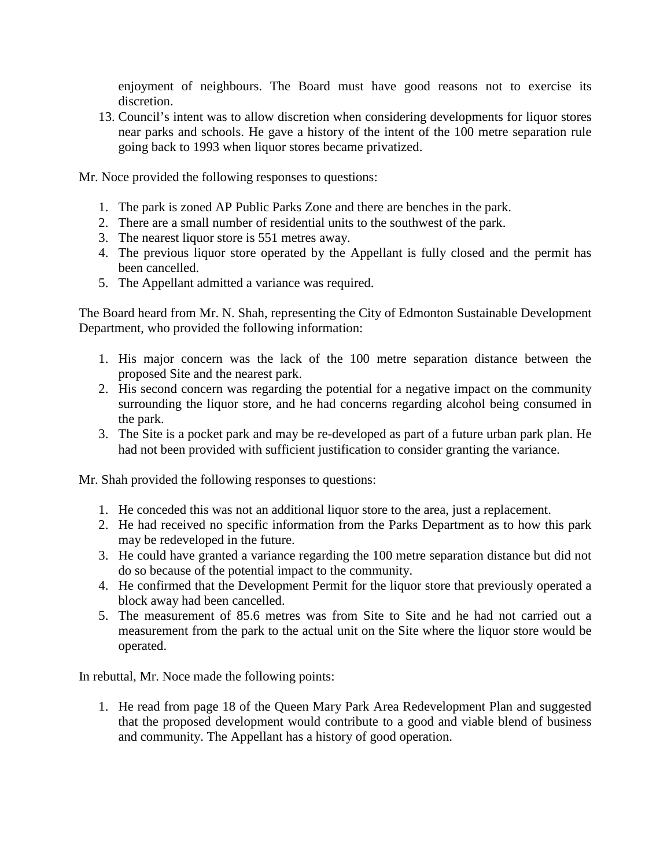enjoyment of neighbours. The Board must have good reasons not to exercise its discretion.

13. Council's intent was to allow discretion when considering developments for liquor stores near parks and schools. He gave a history of the intent of the 100 metre separation rule going back to 1993 when liquor stores became privatized.

Mr. Noce provided the following responses to questions:

- 1. The park is zoned AP Public Parks Zone and there are benches in the park.
- 2. There are a small number of residential units to the southwest of the park.
- 3. The nearest liquor store is 551 metres away.
- 4. The previous liquor store operated by the Appellant is fully closed and the permit has been cancelled.
- 5. The Appellant admitted a variance was required.

The Board heard from Mr. N. Shah, representing the City of Edmonton Sustainable Development Department, who provided the following information:

- 1. His major concern was the lack of the 100 metre separation distance between the proposed Site and the nearest park.
- 2. His second concern was regarding the potential for a negative impact on the community surrounding the liquor store, and he had concerns regarding alcohol being consumed in the park.
- 3. The Site is a pocket park and may be re-developed as part of a future urban park plan. He had not been provided with sufficient justification to consider granting the variance.

Mr. Shah provided the following responses to questions:

- 1. He conceded this was not an additional liquor store to the area, just a replacement.
- 2. He had received no specific information from the Parks Department as to how this park may be redeveloped in the future.
- 3. He could have granted a variance regarding the 100 metre separation distance but did not do so because of the potential impact to the community.
- 4. He confirmed that the Development Permit for the liquor store that previously operated a block away had been cancelled.
- 5. The measurement of 85.6 metres was from Site to Site and he had not carried out a measurement from the park to the actual unit on the Site where the liquor store would be operated.

In rebuttal, Mr. Noce made the following points:

1. He read from page 18 of the Queen Mary Park Area Redevelopment Plan and suggested that the proposed development would contribute to a good and viable blend of business and community. The Appellant has a history of good operation.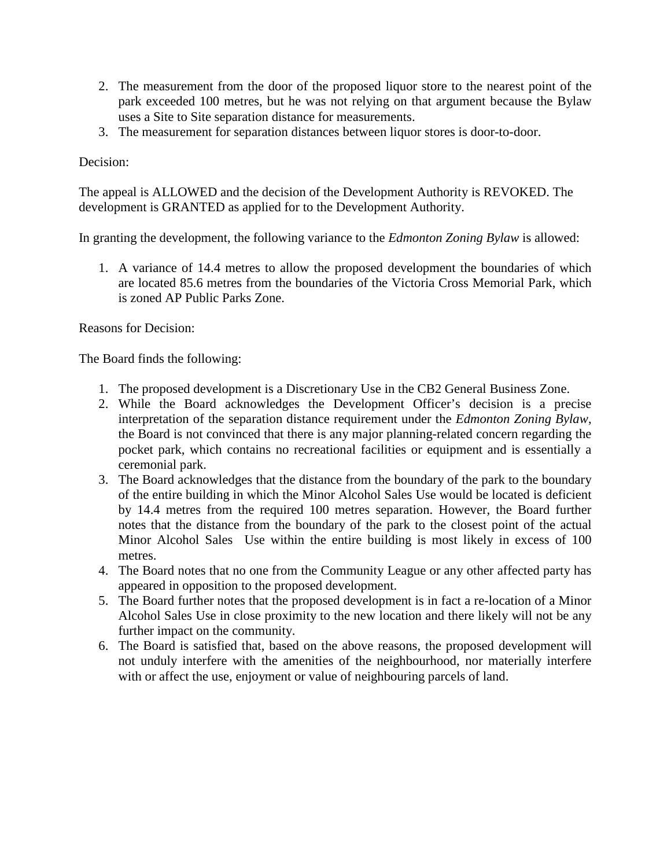- 2. The measurement from the door of the proposed liquor store to the nearest point of the park exceeded 100 metres, but he was not relying on that argument because the Bylaw uses a Site to Site separation distance for measurements.
- 3. The measurement for separation distances between liquor stores is door-to-door.

Decision:

The appeal is ALLOWED and the decision of the Development Authority is REVOKED. The development is GRANTED as applied for to the Development Authority.

In granting the development, the following variance to the *Edmonton Zoning Bylaw* is allowed:

1. A variance of 14.4 metres to allow the proposed development the boundaries of which are located 85.6 metres from the boundaries of the Victoria Cross Memorial Park, which is zoned AP Public Parks Zone.

Reasons for Decision:

The Board finds the following:

- 1. The proposed development is a Discretionary Use in the CB2 General Business Zone.
- 2. While the Board acknowledges the Development Officer's decision is a precise interpretation of the separation distance requirement under the *Edmonton Zoning Bylaw*, the Board is not convinced that there is any major planning-related concern regarding the pocket park, which contains no recreational facilities or equipment and is essentially a ceremonial park.
- 3. The Board acknowledges that the distance from the boundary of the park to the boundary of the entire building in which the Minor Alcohol Sales Use would be located is deficient by 14.4 metres from the required 100 metres separation. However, the Board further notes that the distance from the boundary of the park to the closest point of the actual Minor Alcohol Sales Use within the entire building is most likely in excess of 100 metres.
- 4. The Board notes that no one from the Community League or any other affected party has appeared in opposition to the proposed development.
- 5. The Board further notes that the proposed development is in fact a re-location of a Minor Alcohol Sales Use in close proximity to the new location and there likely will not be any further impact on the community.
- 6. The Board is satisfied that, based on the above reasons, the proposed development will not unduly interfere with the amenities of the neighbourhood, nor materially interfere with or affect the use, enjoyment or value of neighbouring parcels of land.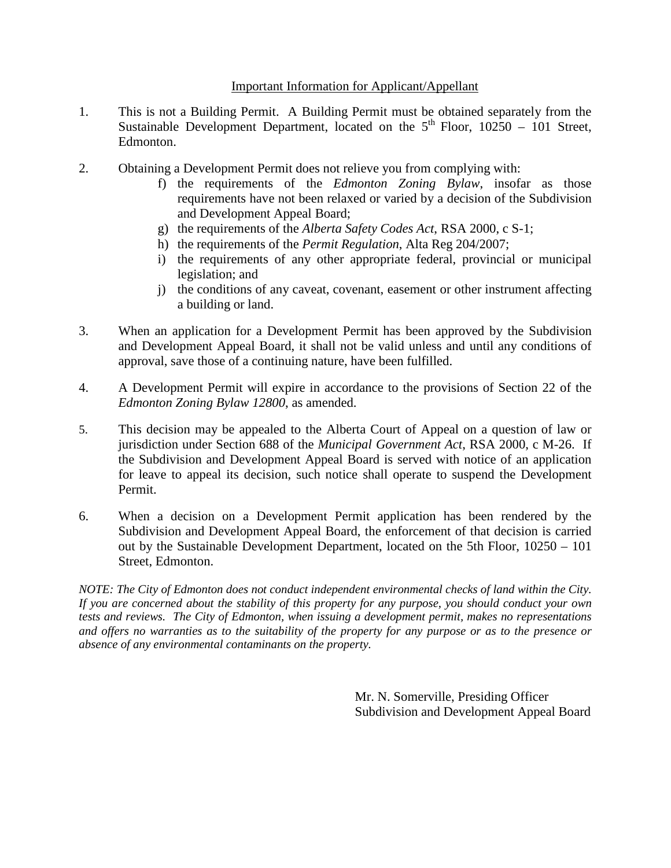## Important Information for Applicant/Appellant

- 1. This is not a Building Permit. A Building Permit must be obtained separately from the Sustainable Development Department, located on the  $5<sup>th</sup>$  Floor, 10250 – 101 Street, Edmonton.
- 2. Obtaining a Development Permit does not relieve you from complying with:
	- f) the requirements of the *Edmonton Zoning Bylaw*, insofar as those requirements have not been relaxed or varied by a decision of the Subdivision and Development Appeal Board;
	- g) the requirements of the *Alberta Safety Codes Act*, RSA 2000, c S-1;
	- h) the requirements of the *Permit Regulation*, Alta Reg 204/2007;
	- i) the requirements of any other appropriate federal, provincial or municipal legislation; and
	- j) the conditions of any caveat, covenant, easement or other instrument affecting a building or land.
- 3. When an application for a Development Permit has been approved by the Subdivision and Development Appeal Board, it shall not be valid unless and until any conditions of approval, save those of a continuing nature, have been fulfilled.
- 4. A Development Permit will expire in accordance to the provisions of Section 22 of the *Edmonton Zoning Bylaw 12800*, as amended.
- 5. This decision may be appealed to the Alberta Court of Appeal on a question of law or jurisdiction under Section 688 of the *Municipal Government Act*, RSA 2000, c M-26. If the Subdivision and Development Appeal Board is served with notice of an application for leave to appeal its decision, such notice shall operate to suspend the Development Permit.
- 6. When a decision on a Development Permit application has been rendered by the Subdivision and Development Appeal Board, the enforcement of that decision is carried out by the Sustainable Development Department, located on the 5th Floor, 10250 – 101 Street, Edmonton.

*NOTE: The City of Edmonton does not conduct independent environmental checks of land within the City. If you are concerned about the stability of this property for any purpose, you should conduct your own tests and reviews. The City of Edmonton, when issuing a development permit, makes no representations and offers no warranties as to the suitability of the property for any purpose or as to the presence or absence of any environmental contaminants on the property.*

> Mr. N. Somerville, Presiding Officer Subdivision and Development Appeal Board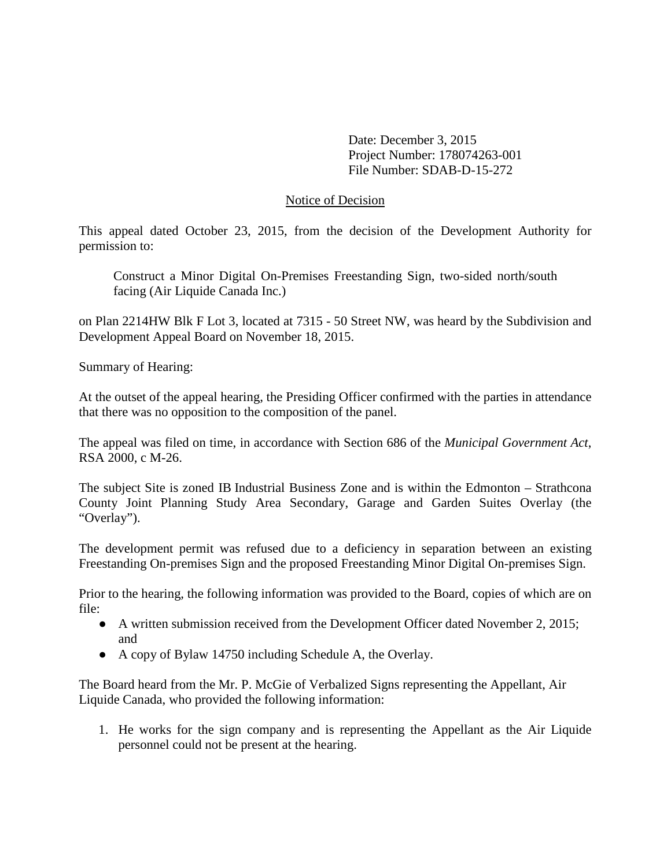Date: December 3, 2015 Project Number: 178074263-001 File Number: SDAB-D-15-272

### Notice of Decision

This appeal dated October 23, 2015, from the decision of the Development Authority for permission to:

Construct a Minor Digital On-Premises Freestanding Sign, two-sided north/south facing (Air Liquide Canada Inc.)

on Plan 2214HW Blk F Lot 3, located at 7315 - 50 Street NW, was heard by the Subdivision and Development Appeal Board on November 18, 2015.

Summary of Hearing:

At the outset of the appeal hearing, the Presiding Officer confirmed with the parties in attendance that there was no opposition to the composition of the panel.

The appeal was filed on time, in accordance with Section 686 of the *Municipal Government Act*, RSA 2000, c M-26.

The subject Site is zoned IB Industrial Business Zone and is within the Edmonton – Strathcona County Joint Planning Study Area Secondary, Garage and Garden Suites Overlay (the "Overlay").

The development permit was refused due to a deficiency in separation between an existing Freestanding On-premises Sign and the proposed Freestanding Minor Digital On-premises Sign.

Prior to the hearing, the following information was provided to the Board, copies of which are on file:

- A written submission received from the Development Officer dated November 2, 2015; and
- A copy of Bylaw 14750 including Schedule A, the Overlay.

The Board heard from the Mr. P. McGie of Verbalized Signs representing the Appellant, Air Liquide Canada, who provided the following information:

1. He works for the sign company and is representing the Appellant as the Air Liquide personnel could not be present at the hearing.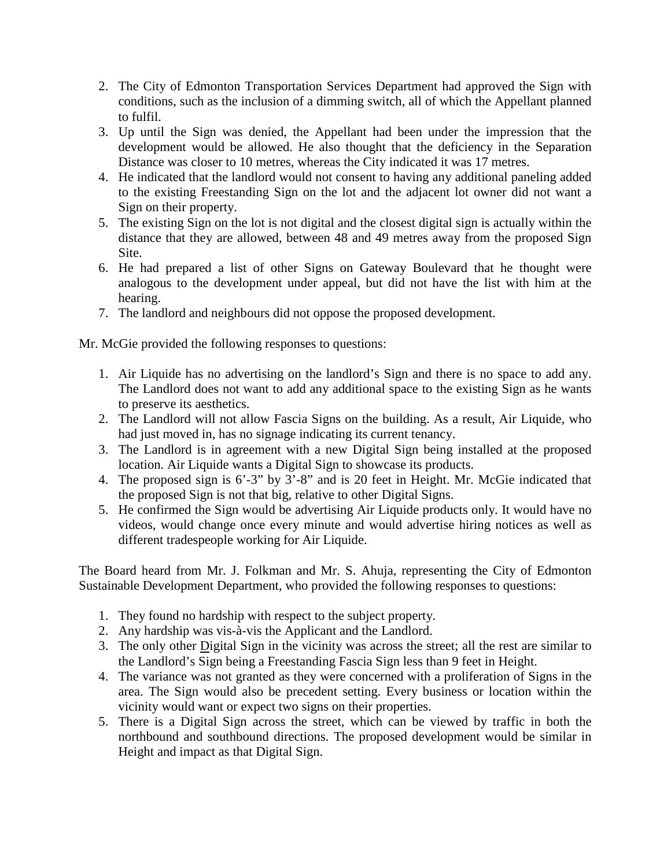- 2. The City of Edmonton Transportation Services Department had approved the Sign with conditions, such as the inclusion of a dimming switch, all of which the Appellant planned to fulfil.
- 3. Up until the Sign was denied, the Appellant had been under the impression that the development would be allowed. He also thought that the deficiency in the Separation Distance was closer to 10 metres, whereas the City indicated it was 17 metres.
- 4. He indicated that the landlord would not consent to having any additional paneling added to the existing Freestanding Sign on the lot and the adjacent lot owner did not want a Sign on their property.
- 5. The existing Sign on the lot is not digital and the closest digital sign is actually within the distance that they are allowed, between 48 and 49 metres away from the proposed Sign Site.
- 6. He had prepared a list of other Signs on Gateway Boulevard that he thought were analogous to the development under appeal, but did not have the list with him at the hearing.
- 7. The landlord and neighbours did not oppose the proposed development.

Mr. McGie provided the following responses to questions:

- 1. Air Liquide has no advertising on the landlord's Sign and there is no space to add any. The Landlord does not want to add any additional space to the existing Sign as he wants to preserve its aesthetics.
- 2. The Landlord will not allow Fascia Signs on the building. As a result, Air Liquide, who had just moved in, has no signage indicating its current tenancy.
- 3. The Landlord is in agreement with a new Digital Sign being installed at the proposed location. Air Liquide wants a Digital Sign to showcase its products.
- 4. The proposed sign is 6'-3" by 3'-8" and is 20 feet in Height. Mr. McGie indicated that the proposed Sign is not that big, relative to other Digital Signs.
- 5. He confirmed the Sign would be advertising Air Liquide products only. It would have no videos, would change once every minute and would advertise hiring notices as well as different tradespeople working for Air Liquide.

The Board heard from Mr. J. Folkman and Mr. S. Ahuja, representing the City of Edmonton Sustainable Development Department, who provided the following responses to questions:

- 1. They found no hardship with respect to the subject property.
- 2. Any hardship was vis-à-vis the Applicant and the Landlord.
- 3. The only other Digital Sign in the vicinity was across the street; all the rest are similar to the Landlord's Sign being a Freestanding Fascia Sign less than 9 feet in Height.
- 4. The variance was not granted as they were concerned with a proliferation of Signs in the area. The Sign would also be precedent setting. Every business or location within the vicinity would want or expect two signs on their properties.
- 5. There is a Digital Sign across the street, which can be viewed by traffic in both the northbound and southbound directions. The proposed development would be similar in Height and impact as that Digital Sign.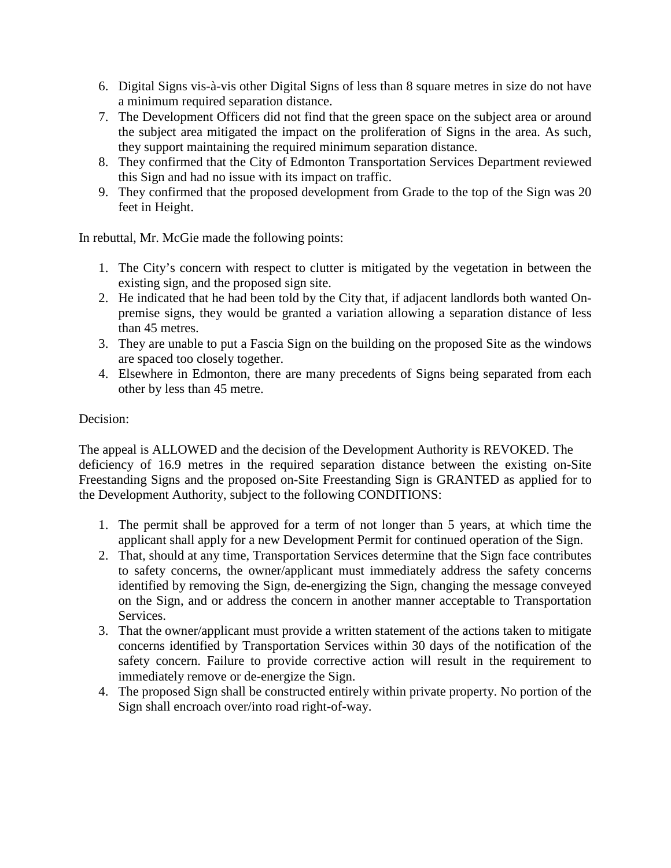- 6. Digital Signs vis-à-vis other Digital Signs of less than 8 square metres in size do not have a minimum required separation distance.
- 7. The Development Officers did not find that the green space on the subject area or around the subject area mitigated the impact on the proliferation of Signs in the area. As such, they support maintaining the required minimum separation distance.
- 8. They confirmed that the City of Edmonton Transportation Services Department reviewed this Sign and had no issue with its impact on traffic.
- 9. They confirmed that the proposed development from Grade to the top of the Sign was 20 feet in Height.

In rebuttal, Mr. McGie made the following points:

- 1. The City's concern with respect to clutter is mitigated by the vegetation in between the existing sign, and the proposed sign site.
- 2. He indicated that he had been told by the City that, if adjacent landlords both wanted Onpremise signs, they would be granted a variation allowing a separation distance of less than 45 metres.
- 3. They are unable to put a Fascia Sign on the building on the proposed Site as the windows are spaced too closely together.
- 4. Elsewhere in Edmonton, there are many precedents of Signs being separated from each other by less than 45 metre.

# Decision:

The appeal is ALLOWED and the decision of the Development Authority is REVOKED. The deficiency of 16.9 metres in the required separation distance between the existing on-Site Freestanding Signs and the proposed on-Site Freestanding Sign is GRANTED as applied for to the Development Authority, subject to the following CONDITIONS:

- 1. The permit shall be approved for a term of not longer than 5 years, at which time the applicant shall apply for a new Development Permit for continued operation of the Sign.
- 2. That, should at any time, Transportation Services determine that the Sign face contributes to safety concerns, the owner/applicant must immediately address the safety concerns identified by removing the Sign, de-energizing the Sign, changing the message conveyed on the Sign, and or address the concern in another manner acceptable to Transportation Services.
- 3. That the owner/applicant must provide a written statement of the actions taken to mitigate concerns identified by Transportation Services within 30 days of the notification of the safety concern. Failure to provide corrective action will result in the requirement to immediately remove or de-energize the Sign.
- 4. The proposed Sign shall be constructed entirely within private property. No portion of the Sign shall encroach over/into road right-of-way.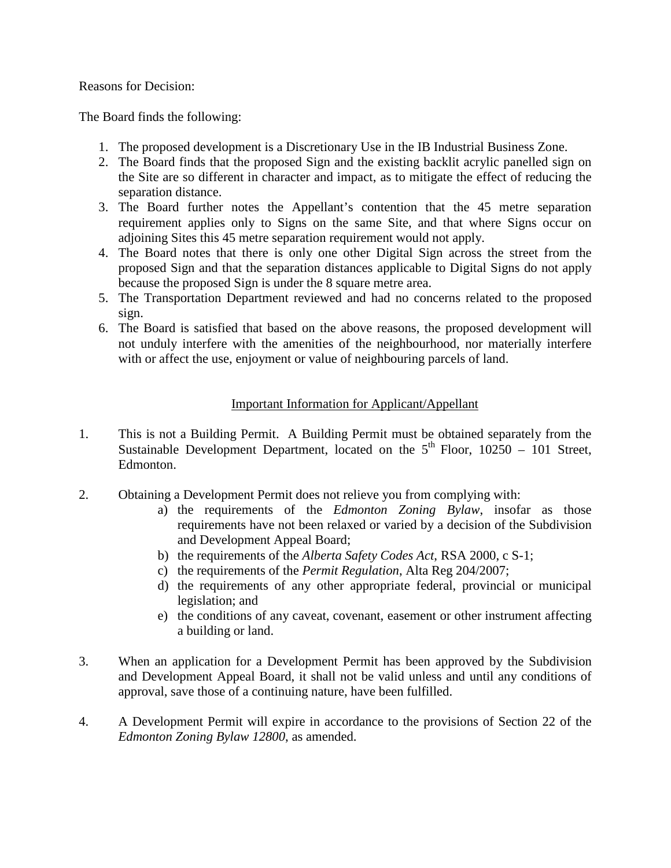### Reasons for Decision:

The Board finds the following:

- 1. The proposed development is a Discretionary Use in the IB Industrial Business Zone.
- 2. The Board finds that the proposed Sign and the existing backlit acrylic panelled sign on the Site are so different in character and impact, as to mitigate the effect of reducing the separation distance.
- 3. The Board further notes the Appellant's contention that the 45 metre separation requirement applies only to Signs on the same Site, and that where Signs occur on adjoining Sites this 45 metre separation requirement would not apply.
- 4. The Board notes that there is only one other Digital Sign across the street from the proposed Sign and that the separation distances applicable to Digital Signs do not apply because the proposed Sign is under the 8 square metre area.
- 5. The Transportation Department reviewed and had no concerns related to the proposed sign.
- 6. The Board is satisfied that based on the above reasons, the proposed development will not unduly interfere with the amenities of the neighbourhood, nor materially interfere with or affect the use, enjoyment or value of neighbouring parcels of land.

## Important Information for Applicant/Appellant

- 1. This is not a Building Permit. A Building Permit must be obtained separately from the Sustainable Development Department, located on the  $5<sup>th</sup>$  Floor, 10250 – 101 Street, Edmonton.
- 2. Obtaining a Development Permit does not relieve you from complying with:
	- a) the requirements of the *Edmonton Zoning Bylaw*, insofar as those requirements have not been relaxed or varied by a decision of the Subdivision and Development Appeal Board;
	- b) the requirements of the *Alberta Safety Codes Act*, RSA 2000, c S-1;
	- c) the requirements of the *Permit Regulation*, Alta Reg 204/2007;
	- d) the requirements of any other appropriate federal, provincial or municipal legislation; and
	- e) the conditions of any caveat, covenant, easement or other instrument affecting a building or land.
- 3. When an application for a Development Permit has been approved by the Subdivision and Development Appeal Board, it shall not be valid unless and until any conditions of approval, save those of a continuing nature, have been fulfilled.
- 4. A Development Permit will expire in accordance to the provisions of Section 22 of the *Edmonton Zoning Bylaw 12800*, as amended.